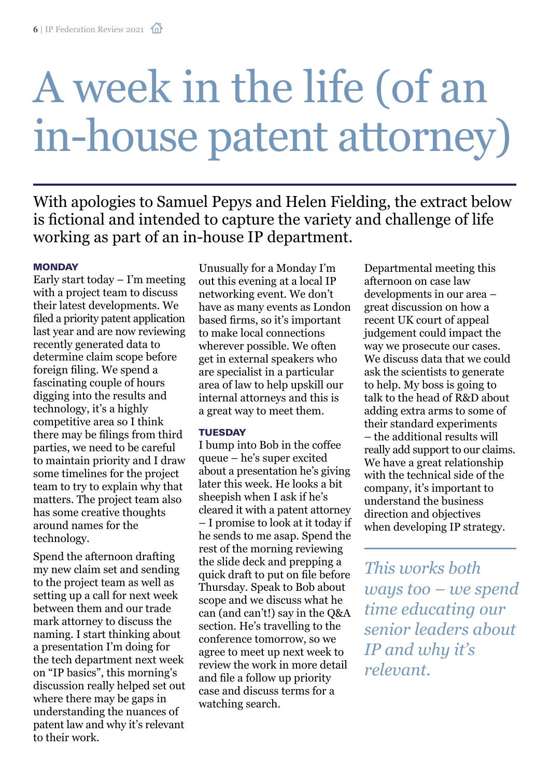# A week in the life (of an in-house patent attorney)

With apologies to Samuel Pepys and Helen Fielding, the extract below is fictional and intended to capture the variety and challenge of life working as part of an in-house IP department.

#### **MONDAY**

Early start today  $-$  I'm meeting with a project team to discuss their latest developments. We filed a priority patent application last year and are now reviewing recently generated data to determine claim scope before foreign filing. We spend a fascinating couple of hours digging into the results and technology, it's a highly competitive area so I think there may be filings from third parties, we need to be careful to maintain priority and I draw some timelines for the project team to try to explain why that matters. The project team also has some creative thoughts around names for the technology.

Spend the afternoon drafting my new claim set and sending to the project team as well as setting up a call for next week between them and our trade mark attorney to discuss the naming. I start thinking about a presentation I'm doing for the tech department next week on "IP basics", this morning's discussion really helped set out where there may be gaps in understanding the nuances of patent law and why it's relevant to their work.

Unusually for a Monday I'm out this evening at a local IP networking event. We don't have as many events as London based firms, so it's important to make local connections wherever possible. We often get in external speakers who are specialist in a particular area of law to help upskill our internal attorneys and this is a great way to meet them.

#### **TUESDAY**

I bump into Bob in the coffee queue – he's super excited about a presentation he's giving later this week. He looks a bit sheepish when I ask if he's cleared it with a patent attorney – I promise to look at it today if he sends to me asap. Spend the rest of the morning reviewing the slide deck and prepping a quick draft to put on file before Thursday. Speak to Bob about scope and we discuss what he can (and can't!) say in the Q&A section. He's travelling to the conference tomorrow, so we agree to meet up next week to review the work in more detail and file a follow up priority case and discuss terms for a watching search.

Departmental meeting this afternoon on case law developments in our area – great discussion on how a recent UK court of appeal judgement could impact the way we prosecute our cases. We discuss data that we could ask the scientists to generate to help. My boss is going to talk to the head of R&D about adding extra arms to some of their standard experiments – the additional results will really add support to our claims. We have a great relationship with the technical side of the company, it's important to understand the business direction and objectives when developing IP strategy.

*This works both ways too – we spend time educating our senior leaders about IP and why it's relevant.*